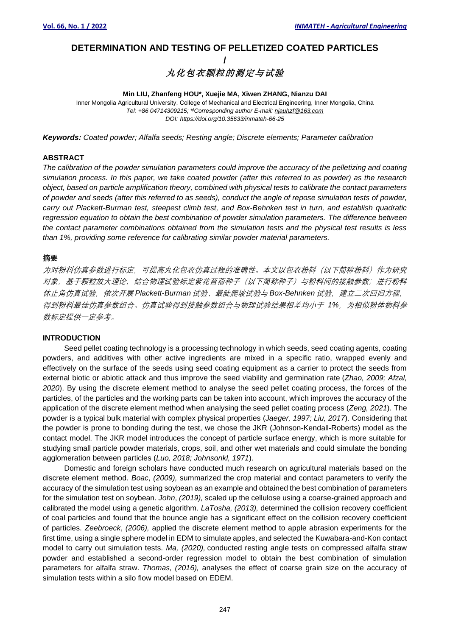# **DETERMINATION AND TESTING OF PELLETIZED COATED PARTICLES /**

# 丸化包衣颗粒的测定与试验

#### **Min LIU, Zhanfeng HOU\*, Xuejie MA, Xiwen ZHANG, Nianzu DAI**

Inner Mongolia Agricultural University, College of Mechanical and Electrical Engineering, Inner Mongolia, China *Tel: +86 04714309215; \* )Corresponding author E-mail: njauhzf@163.com DOI: https://doi.org/10.35633/inmateh-66-25*

*Keywords: Coated powder; Alfalfa seeds; Resting angle; Discrete elements; Parameter calibration*

### **ABSTRACT**

*The calibration of the powder simulation parameters could improve the accuracy of the pelletizing and coating simulation process. In this paper, we take coated powder (after this referred to as powder) as the research object, based on particle amplification theory, combined with physical tests to calibrate the contact parameters of powder and seeds (after this referred to as seeds), conduct the angle of repose simulation tests of powder, carry out Plackett-Burman test, steepest climb test, and Box-Behnken test in turn, and establish quadratic regression equation to obtain the best combination of powder simulation parameters. The difference between the contact parameter combinations obtained from the simulation tests and the physical test results is less than 1%, providing some reference for calibrating similar powder material parameters.*

#### **摘要**

为对粉料仿真参数进行标定,可提高丸化包衣仿真过程的准确性。本文以包衣粉料(以下简称粉料)作为研究 对象,基于颗粒放大理论,结合物理试验标定紫花苜蓿种子(以下简称种子)与粉料间的接触参数;进行粉料 休止角仿真试验,依次开展 *Plackett-Burman* 试验、最陡爬坡试验与 *Box-Behnken* 试验,建立二次回归方程, 得到粉料最佳仿真参数组合。仿真试验得到接触参数组合与物理试验结果相差均小于 1%, 为相似粉体物料参 数标定提供一定参考。

#### **INTRODUCTION**

Seed pellet coating technology is a processing technology in which seeds, seed coating agents, coating powders, and additives with other active ingredients are mixed in a specific ratio, wrapped evenly and effectively on the surface of the seeds using seed coating equipment as a carrier to protect the seeds from external biotic or abiotic attack and thus improve the seed viability and germination rate (*Zhao, 2009; Afzal, 2020*). By using the discrete element method to analyse the seed pellet coating process, the forces of the particles, of the particles and the working parts can be taken into account, which improves the accuracy of the application of the discrete element method when analysing the seed pellet coating process (*Zeng, 2021*). The powder is a typical bulk material with complex physical properties (*Jaeger, 1997; Liu, 2017*). Considering that the powder is prone to bonding during the test, we chose the JKR (Johnson-Kendall-Roberts) model as the contact model. The JKR model introduces the concept of particle surface energy, which is more suitable for studying small particle powder materials, crops, soil, and other wet materials and could simulate the bonding agglomeration between particles (*Luo, 2018; Johnsonkl, 1971*).

Domestic and foreign scholars have conducted much research on agricultural materials based on the discrete element method. *Boac*, *(2009),* summarized the crop material and contact parameters to verify the accuracy of the simulation test using soybean as an example and obtained the best combination of parameters for the simulation test on soybean. *John*, *(2019),* scaled up the cellulose using a coarse-grained approach and calibrated the model using a genetic algorithm. *LaTosha, (2013),* determined the collision recovery coefficient of coal particles and found that the bounce angle has a significant effect on the collision recovery coefficient of particles. *Zeebroeck*, *(2006),* applied the discrete element method to apple abrasion experiments for the first time, using a single sphere model in EDM to simulate apples, and selected the Kuwabara-and-Kon contact model to carry out simulation tests. *Ma, (2020),* conducted resting angle tests on compressed alfalfa straw powder and established a second-order regression model to obtain the best combination of simulation parameters for alfalfa straw. *Thomas, (2016),* analyses the effect of coarse grain size on the accuracy of simulation tests within a silo flow model based on EDEM.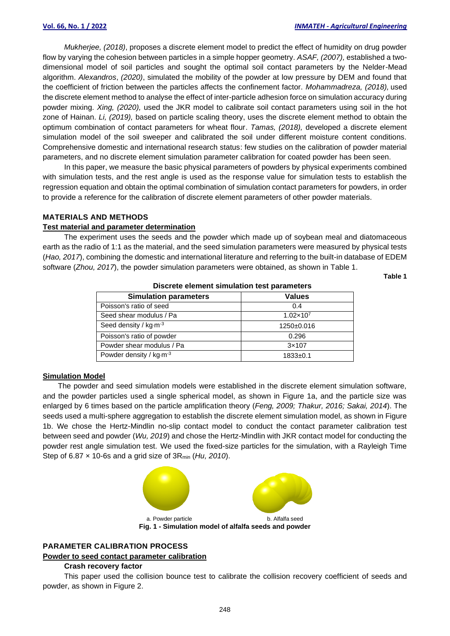*Mukherjee, (2018)*, proposes a discrete element model to predict the effect of humidity on drug powder flow by varying the cohesion between particles in a simple hopper geometry. *ASAF, (2007),* established a twodimensional model of soil particles and sought the optimal soil contact parameters by the Nelder-Mead algorithm. *Alexandros*, *(2020)*, simulated the mobility of the powder at low pressure by DEM and found that the coefficient of friction between the particles affects the confinement factor. *Mohammadreza, (2018),* used the discrete element method to analyse the effect of inter-particle adhesion force on simulation accuracy during powder mixing. *Xing, (2020),* used the JKR model to calibrate soil contact parameters using soil in the hot zone of Hainan. *Li, (2019),* based on particle scaling theory, uses the discrete element method to obtain the optimum combination of contact parameters for wheat flour. *Tamas, (2018),* developed a discrete element simulation model of the soil sweeper and calibrated the soil under different moisture content conditions. Comprehensive domestic and international research status: few studies on the calibration of powder material parameters, and no discrete element simulation parameter calibration for coated powder has been seen.

In this paper, we measure the basic physical parameters of powders by physical experiments combined with simulation tests, and the rest angle is used as the response value for simulation tests to establish the regression equation and obtain the optimal combination of simulation contact parameters for powders, in order to provide a reference for the calibration of discrete element parameters of other powder materials.

#### **MATERIALS AND METHODS**

# **Test material and parameter determination**

The experiment uses the seeds and the powder which made up of soybean meal and diatomaceous earth as the radio of 1:1 as the material, and the seed simulation parameters were measured by physical tests (*Hao, 2017*), combining the domestic and international literature and referring to the built-in database of EDEM software (*Zhou, 2017*), the powder simulation parameters were obtained, as shown in Table 1.

**Table 1**

| <b>Simulation parameters</b> | <b>Values</b>        |  |  |  |  |
|------------------------------|----------------------|--|--|--|--|
| Poisson's ratio of seed      | 0.4                  |  |  |  |  |
| Seed shear modulus / Pa      | $1.02 \times 10^{7}$ |  |  |  |  |
| Seed density / $kg·m-3$      | 1250±0.016           |  |  |  |  |
| Poisson's ratio of powder    | 0.296                |  |  |  |  |
| Powder shear modulus / Pa    | $3\times107$         |  |  |  |  |
| Powder density / $kg·m-3$    | $1833+0.1$           |  |  |  |  |

**Discrete element simulation test parameters**

#### **Simulation Model**

The powder and seed simulation models were established in the discrete element simulation software, and the powder particles used a single spherical model, as shown in Figure 1a, and the particle size was enlarged by 6 times based on the particle amplification theory (*Feng, 2009; Thakur, 2016; Sakai, 2014*). The seeds used a multi-sphere aggregation to establish the discrete element simulation model, as shown in Figure 1b. We chose the Hertz-Mindlin no-slip contact model to conduct the contact parameter calibration test between seed and powder (*Wu, 2019*) and chose the Hertz-Mindlin with JKR contact model for conducting the powder rest angle simulation test. We used the fixed-size particles for the simulation, with a Rayleigh Time Step of 6.87 × 10-6s and a grid size of 3Rmin (*Hu, 2010*).



# **PARAMETER CALIBRATION PROCESS Powder to seed contact parameter calibration**

# **Crash recovery factor**

This paper used the collision bounce test to calibrate the collision recovery coefficient of seeds and powder, as shown in Figure 2.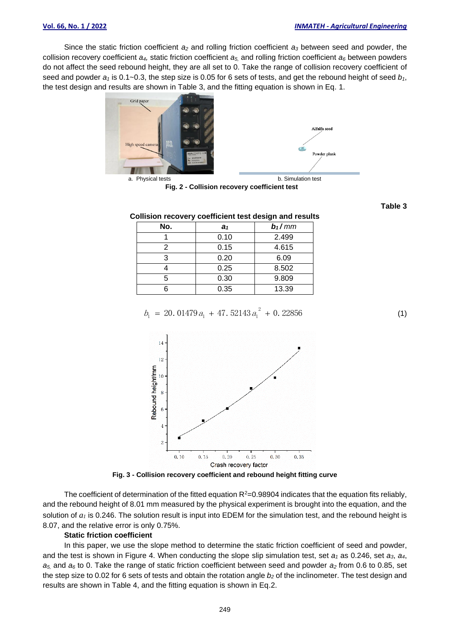Since the static friction coefficient *a<sup>2</sup>* and rolling friction coefficient *a<sup>3</sup>* between seed and powder, the collision recovery coefficient *a4,* static friction coefficient *a5,* and rolling friction coefficient *a<sup>6</sup>* between powders do not affect the seed rebound height, they are all set to 0. Take the range of collision recovery coefficient of seed and powder *a<sup>1</sup>* is 0.1~0.3, the step size is 0.05 for 6 sets of tests, and get the rebound height of seed *b1*, the test design and results are shown in Table 3, and the fitting equation is shown in Eq. 1.





a. Physical tests **b.** Simulation test

**Fig. 2 - Collision recovery coefficient test**

**Table 3**

#### **Collision recovery coefficient test design and results**

| No. | a <sub>1</sub> | $b_1/mm$ |
|-----|----------------|----------|
|     | 0.10           | 2.499    |
| 2   | 0.15           | 4.615    |
| 3   | 0.20           | 6.09     |
|     | 0.25           | 8.502    |
| 5   | 0.30           | 9.809    |
|     | 0.35           | 13.39    |

$$
b_1 = 20.01479 a_1 + 47.52143 a_1^2 + 0.22856 \tag{1}
$$



**Fig. 3 - Collision recovery coefficient and rebound height fitting curve**

The coefficient of determination of the fitted equation  $R^2=0.98904$  indicates that the equation fits reliably, and the rebound height of 8.01 mm measured by the physical experiment is brought into the equation, and the solution of *a<sup>1</sup>* is 0.246. The solution result is input into EDEM for the simulation test, and the rebound height is 8.07, and the relative error is only 0.75%.

# **Static friction coefficient**

In this paper, we use the slope method to determine the static friction coefficient of seed and powder, and the test is shown in Figure 4. When conducting the slope slip simulation test, set  $a_1$  as 0.246, set  $a_3$ ,  $a_4$ ,  $a_5$ , and  $a_6$  to 0. Take the range of static friction coefficient between seed and powder  $a_2$  from 0.6 to 0.85, set the step size to 0.02 for 6 sets of tests and obtain the rotation angle *b<sup>2</sup>* of the inclinometer. The test design and results are shown in Table 4, and the fitting equation is shown in Eq.2.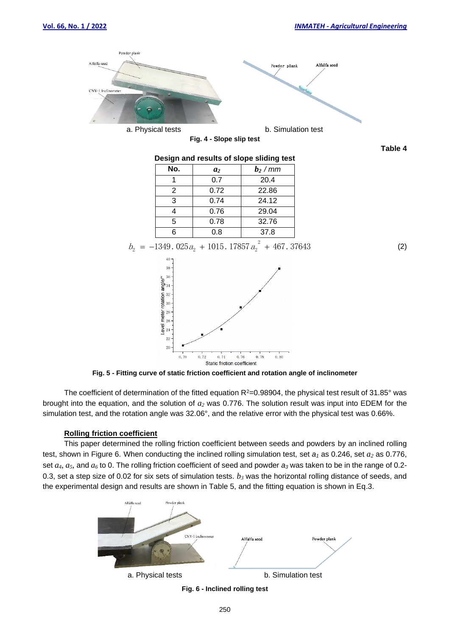

**Fig. 5 - Fitting curve of static friction coefficient and rotation angle of inclinometer**

The coefficient of determination of the fitted equation  $R^2=0.98904$ , the physical test result of 31.85° was brought into the equation, and the solution of *a<sup>2</sup>* was 0.776. The solution result was input into EDEM for the simulation test, and the rotation angle was 32.06°, and the relative error with the physical test was 0.66%.

# **Rolling friction coefficient**

This paper determined the rolling friction coefficient between seeds and powders by an inclined rolling test, shown in Figure 6. When conducting the inclined rolling simulation test, set *a<sup>1</sup>* as 0.246, set *a<sup>2</sup>* as 0.776, set *a4*, *a5*, and *a<sup>6</sup>* to 0. The rolling friction coefficient of seed and powder *a<sup>3</sup>* was taken to be in the range of 0.2- 0.3, set a step size of 0.02 for six sets of simulation tests. *b<sup>3</sup>* was the horizontal rolling distance of seeds, and the experimental design and results are shown in Table 5, and the fitting equation is shown in Eq.3.

![](_page_3_Figure_7.jpeg)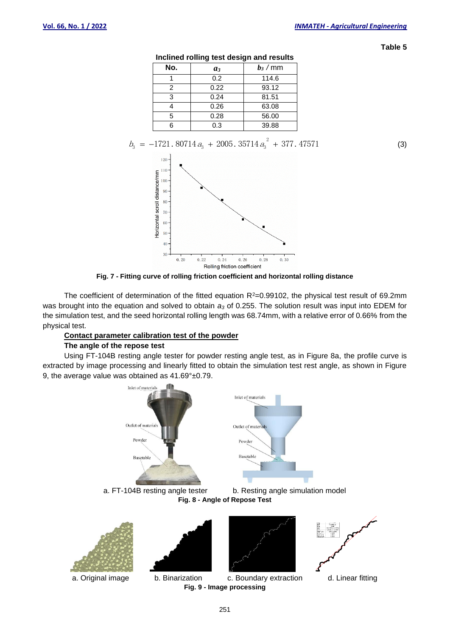**Table 5**

| No. | $a_3$ | $b_3$ / mm |
|-----|-------|------------|
|     | 0.2   | 114.6      |
| 2   | 0.22  | 93.12      |
| ર   | 0.24  | 81.51      |
|     | 0.26  | 63.08      |
| 5   | 0.28  | 56.00      |
|     | 0.3   | 39.88      |

**Inclined rolling test design and results**

$$
b_3 = -1721.80714 a_3 + 2005.35714 a_3^2 + 377.47571
$$
 (3)

![](_page_4_Figure_6.jpeg)

**Fig. 7 - Fitting curve of rolling friction coefficient and horizontal rolling distance**

The coefficient of determination of the fitted equation  $R^2=0.99102$ , the physical test result of 69.2mm was brought into the equation and solved to obtain *a<sup>3</sup>* of 0.255. The solution result was input into EDEM for the simulation test, and the seed horizontal rolling length was 68.74mm, with a relative error of 0.66% from the physical test.

# **Contact parameter calibration test of the powder**

# **The angle of the repose test**

Using FT-104B resting angle tester for powder resting angle test, as in Figure 8a, the profile curve is extracted by image processing and linearly fitted to obtain the simulation test rest angle, as shown in Figure 9, the average value was obtained as 41.69°±0.79.

![](_page_4_Figure_12.jpeg)

251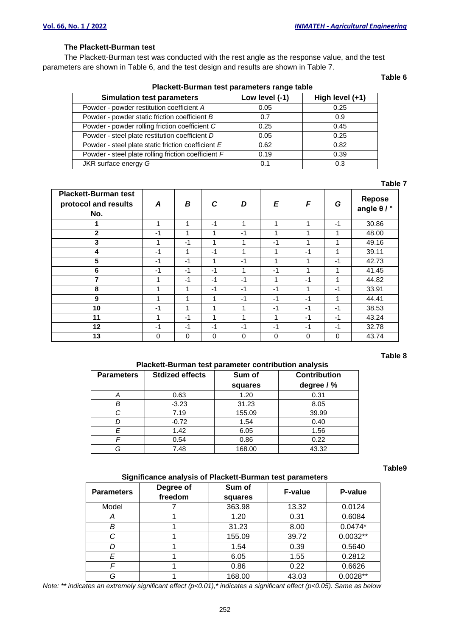# **The Plackett-Burman test**

The Plackett-Burman test was conducted with the rest angle as the response value, and the test parameters are shown in Table 6, and the test design and results are shown in Table 7.

| Plackett-Burnian test parameters range table        |                |                 |  |  |  |  |
|-----------------------------------------------------|----------------|-----------------|--|--|--|--|
| <b>Simulation test parameters</b>                   | Low level (-1) | High level (+1) |  |  |  |  |
| Powder - powder restitution coefficient A           | 0.05           | 0.25            |  |  |  |  |
| Powder - powder static friction coefficient B       | 0.7            | 0.9             |  |  |  |  |
| Powder - powder rolling friction coefficient C      | 0.25           | 0.45            |  |  |  |  |
| Powder - steel plate restitution coefficient D      | 0.05           | 0.25            |  |  |  |  |
| Powder - steel plate static friction coefficient E  | 0.62           | 0.82            |  |  |  |  |
| Powder - steel plate rolling friction coefficient F | 0.19           | 0.39            |  |  |  |  |
| JKR surface energy G                                | 0.1            | 0.3             |  |  |  |  |

# **Plackett-Burman test parameters range table**

#### **Table 7**

**Table 6**

| <b>Plackett-Burman test</b><br>protocol and results<br>No. | A    | B    | C    | D    | E    | F    | G    | Repose<br>angle $\theta$ / $^{\circ}$ |
|------------------------------------------------------------|------|------|------|------|------|------|------|---------------------------------------|
|                                                            |      | 1    | $-1$ | ۸    | 1    |      | $-1$ | 30.86                                 |
| $\overline{2}$                                             | -1   | 1    | и    | $-1$ | 1    |      | 1    | 48.00                                 |
| 3                                                          | 4    | $-1$ | 4    | 1    | $-1$ | 1    | 1    | 49.16                                 |
| 4                                                          | $-1$ | 1    | $-1$ | 4    | 1    | $-1$ | 1    | 39.11                                 |
| 5                                                          | $-1$ | $-1$ |      | $-1$ | 1    | 1    | $-1$ | 42.73                                 |
| 6                                                          | $-1$ | $-1$ | $-1$ | 1    | $-1$ | 1    | 1    | 41.45                                 |
| 7                                                          |      | $-1$ | $-1$ | $-1$ | 1    | $-1$ | 1    | 44.82                                 |
| 8                                                          |      | 1    | $-1$ | $-1$ | -1   |      | $-1$ | 33.91                                 |
| 9                                                          |      | 1    |      | $-1$ | $-1$ | $-1$ | 1    | 44.41                                 |
| 10                                                         | $-1$ | 1    | 4    | 4    | -1   | $-1$ | $-1$ | 38.53                                 |
| 11                                                         |      | $-1$ |      |      | 4    | $-1$ | $-1$ | 43.24                                 |
| 12                                                         | -1   | $-1$ | $-1$ | $-1$ | $-1$ | $-1$ | $-1$ | 32.78                                 |
| 13                                                         | 0    | 0    | 0    | 0    | 0    | 0    | 0    | 43.74                                 |

#### **Table 8**

# **Plackett-Burman test parameter contribution analysis**

| <b>Parameters</b> | <b>Stdized effects</b> | Sum of  | <b>Contribution</b> |
|-------------------|------------------------|---------|---------------------|
|                   |                        | squares | degree / %          |
| A                 | 0.63                   | 1.20    | 0.31                |
| B                 | $-3.23$                | 31.23   | 8.05                |
| C                 | 7.19                   | 155.09  | 39.99               |
|                   | $-0.72$                | 1.54    | 0.40                |
| E                 | 1.42                   | 6.05    | 1.56                |
|                   | 0.54                   | 0.86    | 0.22                |
| G                 | 7.48                   | 168.00  | 43.32               |

#### **Table9**

#### **Significance analysis of Plackett-Burman test parameters**

| <b>Parameters</b> | Degree of<br>freedom | Sum of<br>squares | <b>F-value</b> | P-value    |
|-------------------|----------------------|-------------------|----------------|------------|
| Model             |                      | 363.98            | 13.32          | 0.0124     |
| Α                 |                      | 1.20              | 0.31           | 0.6084     |
| В                 |                      | 31.23             | 8.00           | $0.0474*$  |
| C                 |                      | 155.09            | 39.72          | $0.0032**$ |
| D                 |                      | 1.54              | 0.39           | 0.5640     |
| E                 |                      | 6.05              | 1.55           | 0.2812     |
| F                 |                      | 0.86              | 0.22           | 0.6626     |
| G                 |                      | 168.00            | 43.03          | $0.0028**$ |

*Note: \*\* indicates an extremely significant effect (p<0.01),\* indicates a significant effect (p<0.05). Same as below*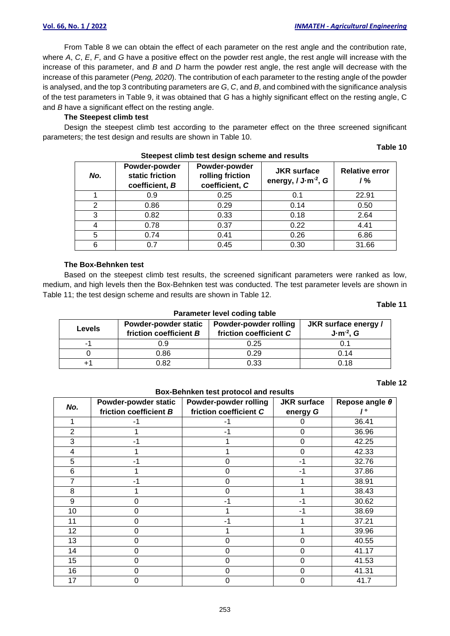From Table 8 we can obtain the effect of each parameter on the rest angle and the contribution rate, where *A*, *C*, *E*, *F*, and *G* have a positive effect on the powder rest angle, the rest angle will increase with the increase of this parameter, and *B* and *D* harm the powder rest angle, the rest angle will decrease with the increase of this parameter (*Peng, 2020*). The contribution of each parameter to the resting angle of the powder is analysed, and the top 3 contributing parameters are *G*, *C*, and *B*, and combined with the significance analysis of the test parameters in Table 9, it was obtained that *G* has a highly significant effect on the resting angle, C and *B* have a significant effect on the resting angle.

# **The Steepest climb test**

Design the steepest climb test according to the parameter effect on the three screened significant parameters; the test design and results are shown in Table 10.

| <u>stoppot silling toot abolgh bollonic and roodito</u> |                                                    |                                                     |                                               |                             |  |
|---------------------------------------------------------|----------------------------------------------------|-----------------------------------------------------|-----------------------------------------------|-----------------------------|--|
| No.                                                     | Powder-powder<br>static friction<br>coefficient, B | Powder-powder<br>rolling friction<br>coefficient, C | <b>JKR</b> surface<br>energy, $/ J·m-2$ , $G$ | <b>Relative error</b><br>/% |  |
|                                                         | 0.9                                                | 0.25                                                | 0.1                                           | 22.91                       |  |
| 2                                                       | 0.86                                               | 0.29                                                | 0.14                                          | 0.50                        |  |
| 3                                                       | 0.82                                               | 0.33                                                | 0.18                                          | 2.64                        |  |
| 4                                                       | 0.78                                               | 0.37                                                | 0.22                                          | 4.41                        |  |
| 5                                                       | 0.74                                               | 0.41                                                | 0.26                                          | 6.86                        |  |
| 6                                                       | 0.7                                                | 0.45                                                | 0.30                                          | 31.66                       |  |

# **Steepest climb test design scheme and results**

## **The Box-Behnken test**

Based on the steepest climb test results, the screened significant parameters were ranked as low, medium, and high levels then the Box-Behnken test was conducted. The test parameter levels are shown in Table 11; the test design scheme and results are shown in Table 12.

#### **Table 11**

**Table 10**

| Parameter level coding table |                                                |                                                 |                                       |  |  |  |
|------------------------------|------------------------------------------------|-------------------------------------------------|---------------------------------------|--|--|--|
| <b>Levels</b>                | Powder-powder static<br>friction coefficient B | Powder-powder rolling<br>friction coefficient C | JKR surface energy /<br>$J·m-2$ , $G$ |  |  |  |
| -1                           | 0.9                                            | 0.25                                            | 0.1                                   |  |  |  |
|                              | 0.86                                           | 0.29                                            | 0.14                                  |  |  |  |
| +1                           | 0.82                                           | 0.33                                            | 0.18                                  |  |  |  |

#### **Table 12**

## **Box-Behnken test protocol and results**

| No.            | Powder-powder static<br>friction coefficient B | Powder-powder rolling<br>friction coefficient C | <b>JKR</b> surface<br>energy G | Repose angle $\theta$ |
|----------------|------------------------------------------------|-------------------------------------------------|--------------------------------|-----------------------|
|                | -1                                             |                                                 | 0                              | 36.41                 |
| $\overline{2}$ |                                                | - 1                                             | 0                              | 36.96                 |
| 3              | -1                                             |                                                 | 0                              | 42.25                 |
| 4              |                                                |                                                 | 0                              | 42.33                 |
| 5              | -1                                             | 0                                               | -1                             | 32.76                 |
| 6              |                                                | 0                                               | -1                             | 37.86                 |
|                | -1                                             | 0                                               |                                | 38.91                 |
| 8              |                                                | 0                                               |                                | 38.43                 |
| 9              | 0                                              | -1                                              | -1                             | 30.62                 |
| 10             | I)                                             |                                                 | -1                             | 38.69                 |
| 11             | 0                                              | - 1                                             |                                | 37.21                 |
| 12             | Ω                                              |                                                 |                                | 39.96                 |
| 13             | Ω                                              | 0                                               | 0                              | 40.55                 |
| 14             |                                                | O                                               | 0                              | 41.17                 |
| 15             | Ω                                              | 0                                               | 0                              | 41.53                 |
| 16             | 0                                              | 0                                               | 0                              | 41.31                 |
| 17             |                                                |                                                 | 0                              | 41.7                  |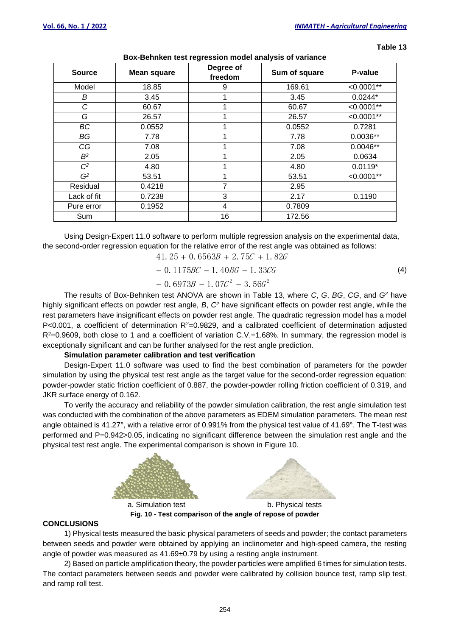**Table 13**

| <b>Source</b>  | <b>Mean square</b> | Degree of<br>freedom | Sum of square | P-value       |
|----------------|--------------------|----------------------|---------------|---------------|
| Model          | 18.85              | 9                    | 169.61        | $< 0.0001**$  |
| B              | 3.45               |                      | 3.45          | $0.0244*$     |
| C              | 60.67              |                      | 60.67         | $< 0.0001**$  |
| G              | 26.57              |                      | 26.57         | $< 0.0001**$  |
| BC             | 0.0552             |                      | 0.0552        | 0.7281        |
| BG             | 7.78               |                      | 7.78          | $0.0036**$    |
| CG             | 7.08               |                      | 7.08          | $0.0046**$    |
| B <sup>2</sup> | 2.05               |                      | 2.05          | 0.0634        |
| $C^2$          | 4.80               |                      | 4.80          | $0.0119*$     |
| G <sup>2</sup> | 53.51              |                      | 53.51         | $< 0.0001$ ** |
| Residual       | 0.4218             | 7                    | 2.95          |               |
| Lack of fit    | 0.7238             | 3                    | 2.17          | 0.1190        |
| Pure error     | 0.1952             | $\overline{4}$       | 0.7809        |               |
| Sum            |                    | 16                   | 172.56        |               |

# **Box-Behnken test regression model analysis of variance**

Using Design-Expert 11.0 software to perform multiple regression analysis on the experimental data, the second-order regression equation for the relative error of the rest angle was obtained as follows:

$$
41.25 + 0.6563B + 2.75C + 1.82G
$$

$$
-0.1175BC - 1.40BG - 1.33CG \tag{4}
$$

$$
-0.6973B - 1.07C^2 - 3.56G^2
$$

The results of Box-Behnken test ANOVA are shown in Table 13, where *C*, *G*, *BG*, *CG*, and *G<sup>2</sup>* have highly significant effects on powder rest angle, *B*, *C<sup>2</sup>* have significant effects on powder rest angle, while the rest parameters have insignificant effects on powder rest angle. The quadratic regression model has a model  $P<0.001$ , a coefficient of determination  $R<sup>2</sup>=0.9829$ , and a calibrated coefficient of determination adjusted R<sup>2</sup>=0.9609, both close to 1 and a coefficient of variation C.V.=1.68%. In summary, the regression model is exceptionally significant and can be further analysed for the rest angle prediction.

# **Simulation parameter calibration and test verification**

Design-Expert 11.0 software was used to find the best combination of parameters for the powder simulation by using the physical test rest angle as the target value for the second-order regression equation: powder-powder static friction coefficient of 0.887, the powder-powder rolling friction coefficient of 0.319, and JKR surface energy of 0.162.

To verify the accuracy and reliability of the powder simulation calibration, the rest angle simulation test was conducted with the combination of the above parameters as EDEM simulation parameters. The mean rest angle obtained is 41.27°, with a relative error of 0.991% from the physical test value of 41.69°. The T-test was performed and P=0.942>0.05, indicating no significant difference between the simulation rest angle and the physical test rest angle. The experimental comparison is shown in Figure 10.

![](_page_7_Figure_12.jpeg)

**Fig. 10 - Test comparison of the angle of repose of powder**

# **CONCLUSIONS**

1) Physical tests measured the basic physical parameters of seeds and powder; the contact parameters between seeds and powder were obtained by applying an inclinometer and high-speed camera, the resting angle of powder was measured as 41.69±0.79 by using a resting angle instrument.

2) Based on particle amplification theory, the powder particles were amplified 6 times for simulation tests. The contact parameters between seeds and powder were calibrated by collision bounce test, ramp slip test, and ramp roll test.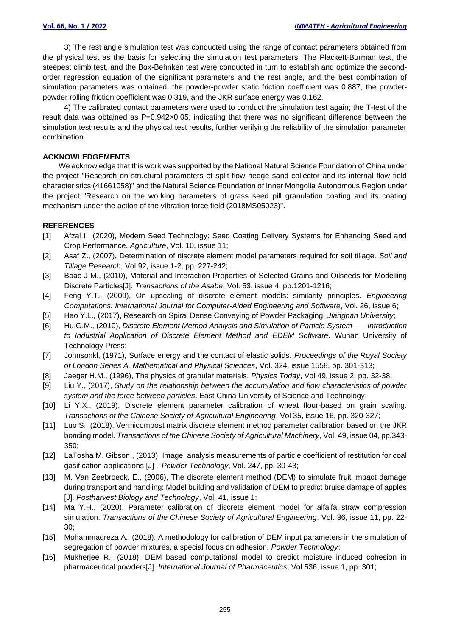3) The rest angle simulation test was conducted using the range of contact parameters obtained from the physical test as the basis for selecting the simulation test parameters. The Plackett-Burman test, the steepest climb test, and the Box-Behnken test were conducted in turn to establish and optimize the secondorder regression equation of the significant parameters and the rest angle, and the best combination of simulation parameters was obtained: the powder-powder static friction coefficient was 0.887, the powderpowder rolling friction coefficient was 0.319, and the JKR surface energy was 0.162.

4) The calibrated contact parameters were used to conduct the simulation test again; the T-test of the result data was obtained as P=0.942>0.05, indicating that there was no significant difference between the simulation test results and the physical test results, further verifying the reliability of the simulation parameter combination.

# **ACKNOWLEDGEMENTS**

We acknowledge that this work was supported by the National Natural Science Foundation of China under the project "Research on structural parameters of split-flow hedge sand collector and its internal flow field characteristics (41661058)" and the Natural Science Foundation of Inner Mongolia Autonomous Region under the project "Research on the working parameters of grass seed pill granulation coating and its coating mechanism under the action of the vibration force field (2018MS05023)".

# **REFERENCES**

- [1] Afzal I., (2020), Modern Seed Technology: Seed Coating Delivery Systems for Enhancing Seed and Crop Performance. *Agriculture*, Vol. 10, issue 11;
- [2] Asaf Z., (2007), Determination of discrete element model parameters required for soil tillage. *Soil and Tillage Research*, Vol 92, issue 1-2, pp. 227-242;
- [3] Boac J M., (2010), Material and Interaction Properties of Selected Grains and Oilseeds for Modelling Discrete Particles[J]. *Transactions of the Asabe*, Vol. 53, issue 4, pp.1201-1216;
- [4] Feng Y.T., (2009), On upscaling of discrete element models: similarity principles. *Engineering Computations: International Journal for Computer-Aided Engineering and Software, Vol. 26, issue 6;*
- [5] Hao Y.L., (2017), Research on Spiral Dense Conveying of Powder Packaging. *Jiangnan University*;
- [6] Hu G.M., (2010), *Discrete Element Method Analysis and Simulation of Particle System——Introduction to Industrial Application of Discrete Element Method and EDEM Software*. Wuhan University of Technology Press;
- [7] Johnsonkl, (1971), Surface energy and the contact of elastic solids. *Proceedings of the Royal Society of London Series A, Mathematical and Physical Sciences*, Vol. 324, issue 1558, pp. 301-313;
- [8] Jaeger H.M., (1996), The physics of granular materials. *Physics Today*, Vol 49, issue 2, pp. 32-38;
- [9] Liu Y., (2017), *Study on the relationship between the accumulation and flow characteristics of powder system and the force between particles*. East China University of Science and Technology;
- [10] Li Y.X., (2019), Discrete element parameter calibration of wheat flour-based on grain scaling. *Transactions of the Chinese Society of Agricultural Engineering*, Vol 35, issue 16, pp. 320-327;
- [11] Luo S., (2018), Vermicompost matrix discrete element method parameter calibration based on the JKR bonding model. *Transactions of the Chinese Society of Agricultural Machinery*, Vol. 49, issue 04, pp.343- 350;
- [12] LaTosha M. Gibson., (2013), Image analysis measurements of particle coefficient of restitution for coal gasification applications [J].*Powder Technology*, Vol. 247, pp. 30-43;
- [13] M. Van Zeebroeck, E., (2006), The discrete element method (DEM) to simulate fruit impact damage during transport and handling: Model building and validation of DEM to predict bruise damage of apples [J]. *Postharvest Biology and Technology*, Vol. 41, issue 1;
- [14] Ma Y.H., (2020), Parameter calibration of discrete element model for alfalfa straw compression simulation. *Transactions of the Chinese Society of Agricultural Engineering*, Vol. 36, issue 11, pp. 22- 30;
- [15] Mohammadreza A., (2018), A methodology for calibration of DEM input parameters in the simulation of segregation of powder mixtures, a special focus on adhesion. *Powder Technology*;
- [16] Mukherjee R., (2018), DEM based computational model to predict moisture induced cohesion in pharmaceutical powders[J]. *International Journal of Pharmaceutics*, Vol 536, issue 1, pp. 301;